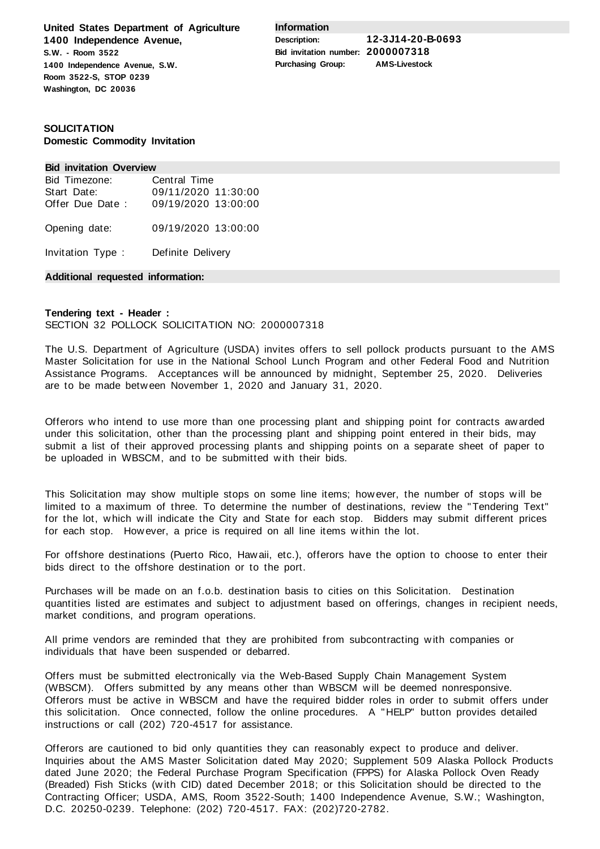**United States Department of Agriculture 1400 Independence Avenue, S.W. - Room 3522 1400 Independence Avenue, S.W. Room 3522-S, STOP 0239 Washington, DC 20036**

**Information**

**Description: 12-3J14-20-B-0693 Bid invitation number: 2000007318 Purchasing Group: AMS-Livestock**

# **SOLICITATION Domestic Commodity Invitation**

#### **Bid invitation Overview**

| Bid Timezone:     | Central Time        |
|-------------------|---------------------|
| Start Date:       | 09/11/2020 11:30:00 |
| Offer Due Date:   | 09/19/2020 13:00:00 |
| Opening date:     | 09/19/2020 13:00:00 |
| Invitation Type : | Definite Delivery   |

**Additional requested information:**

# **Tendering text - Header :**

### SECTION 32 POLLOCK SOLICITATION NO: 2000007318

The U.S. Department of Agriculture (USDA) invites offers to sell pollock products pursuant to the AMS Master Solicitation for use in the National School Lunch Program and other Federal Food and Nutrition Assistance Programs. Acceptances will be announced by midnight, September 25, 2020. Deliveries are to be made between November 1, 2020 and January 31, 2020.

Offerors who intend to use more than one processing plant and shipping point for contracts awarded under this solicitation, other than the processing plant and shipping point entered in their bids, may submit a list of their approved processing plants and shipping points on a separate sheet of paper to be uploaded in WBSCM, and to be submitted with their bids.

This Solicitation may show multiple stops on some line items; however, the number of stops will be limited to a maximum of three. To determine the number of destinations, review the "Tendering Text" for the lot, which will indicate the City and State for each stop. Bidders may submit different prices for each stop. However, a price is required on all line items within the lot.

For offshore destinations (Puerto Rico, Hawaii, etc.), offerors have the option to choose to enter their bids direct to the offshore destination or to the port.

Purchases will be made on an f.o.b. destination basis to cities on this Solicitation. Destination quantities listed are estimates and subject to adjustment based on offerings, changes in recipient needs, market conditions, and program operations.

All prime vendors are reminded that they are prohibited from subcontracting with companies or individuals that have been suspended or debarred.

Offers must be submitted electronically via the Web-Based Supply Chain Management System (WBSCM). Offers submitted by any means other than WBSCM will be deemed nonresponsive. Offerors must be active in WBSCM and have the required bidder roles in order to submit offers under this solicitation. Once connected, follow the online procedures. A "HELP" button provides detailed instructions or call (202) 720-4517 for assistance.

Offerors are cautioned to bid only quantities they can reasonably expect to produce and deliver. Inquiries about the AMS Master Solicitation dated May 2020; Supplement 509 Alaska Pollock Products dated June 2020; the Federal Purchase Program Specification (FPPS) for Alaska Pollock Oven Ready (Breaded) Fish Sticks (with CID) dated December 2018; or this Solicitation should be directed to the Contracting Officer; USDA, AMS, Room 3522-South; 1400 Independence Avenue, S.W.; Washington, D.C. 20250-0239. Telephone: (202) 720-4517. FAX: (202)720-2782.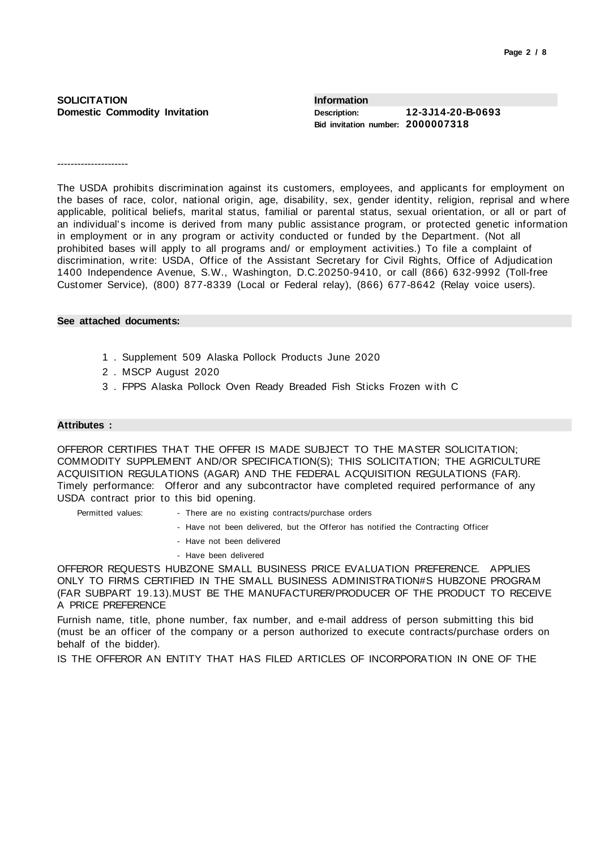## **SOLICITATION Domestic Commodity Invitation**

| <b>Information</b>                |                   |
|-----------------------------------|-------------------|
| Description:                      | 12-3J14-20-B-0693 |
| Bid invitation number: 2000007318 |                   |

---------------------

The USDA prohibits discrimination against its customers, employees, and applicants for employment on the bases of race, color, national origin, age, disability, sex, gender identity, religion, reprisal and where applicable, political beliefs, marital status, familial or parental status, sexual orientation, or all or part of an individual's income is derived from many public assistance program, or protected genetic information in employment or in any program or activity conducted or funded by the Department. (Not all prohibited bases will apply to all programs and/ or employment activities.) To file a complaint of discrimination, write: USDA, Office of the Assistant Secretary for Civil Rights, Office of Adjudication 1400 Independence Avenue, S.W., Washington, D.C.20250-9410, or call (866) 632-9992 (Toll-free Customer Service), (800) 877-8339 (Local or Federal relay), (866) 677-8642 (Relay voice users).

#### **See attached documents:**

- 1 . Supplement 509 Alaska Pollock Products June 2020
- 2 . MSCP August 2020
- 3 . FPPS Alaska Pollock Oven Ready Breaded Fish Sticks Frozen with C

#### **Attributes :**

OFFEROR CERTIFIES THAT THE OFFER IS MADE SUBJECT TO THE MASTER SOLICITATION; COMMODITY SUPPLEMENT AND/OR SPECIFICATION(S); THIS SOLICITATION; THE AGRICULTURE ACQUISITION REGULATIONS (AGAR) AND THE FEDERAL ACQUISITION REGULATIONS (FAR). Timely performance: Offeror and any subcontractor have completed required performance of any USDA contract prior to this bid opening.

- Permitted values: There are no existing contracts/purchase orders
	- Have not been delivered, but the Offeror has notified the Contracting Officer
	- Have not been delivered
	- Have been delivered

OFFEROR REQUESTS HUBZONE SMALL BUSINESS PRICE EVALUATION PREFERENCE. APPLIES ONLY TO FIRMS CERTIFIED IN THE SMALL BUSINESS ADMINISTRATION#S HUBZONE PROGRAM (FAR SUBPART 19.13).MUST BE THE MANUFACTURER/PRODUCER OF THE PRODUCT TO RECEIVE A PRICE PREFERENCE

Furnish name, title, phone number, fax number, and e-mail address of person submitting this bid (must be an officer of the company or a person authorized to execute contracts/purchase orders on behalf of the bidder).

IS THE OFFEROR AN ENTITY THAT HAS FILED ARTICLES OF INCORPORATION IN ONE OF THE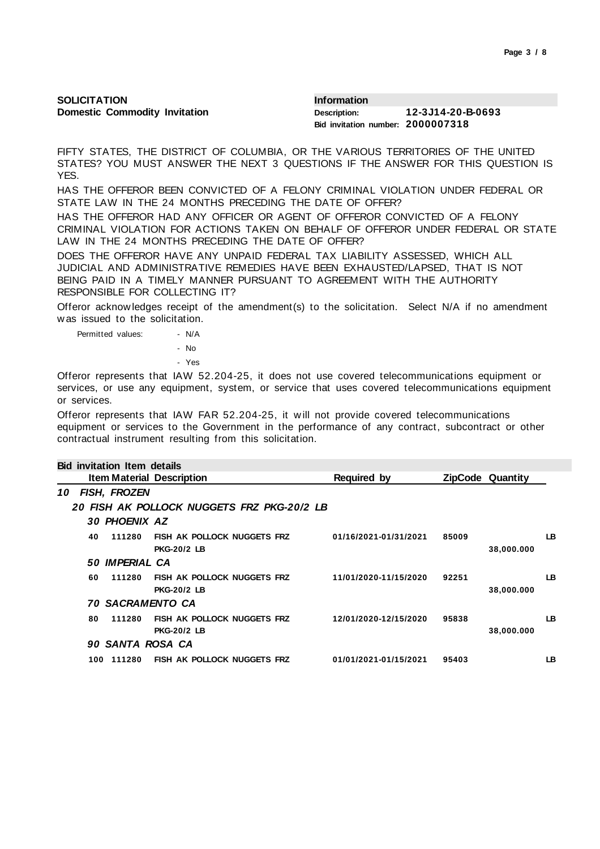| SOLICITATION                         | <b>Information</b>                |                   |  |  |
|--------------------------------------|-----------------------------------|-------------------|--|--|
| <b>Domestic Commodity Invitation</b> | Description:                      | 12-3J14-20-B-0693 |  |  |
|                                      | Bid invitation number: 2000007318 |                   |  |  |

FIFTY STATES, THE DISTRICT OF COLUMBIA, OR THE VARIOUS TERRITORIES OF THE UNITED STATES? YOU MUST ANSWER THE NEXT 3 QUESTIONS IF THE ANSWER FOR THIS QUESTION IS YES.

HAS THE OFFEROR BEEN CONVICTED OF A FELONY CRIMINAL VIOLATION UNDER FEDERAL OR STATE LAW IN THE 24 MONTHS PRECEDING THE DATE OF OFFER?

HAS THE OFFEROR HAD ANY OFFICER OR AGENT OF OFFEROR CONVICTED OF A FELONY CRIMINAL VIOLATION FOR ACTIONS TAKEN ON BEHALF OF OFFEROR UNDER FEDERAL OR STATE LAW IN THE 24 MONTHS PRECEDING THE DATE OF OFFER?

DOES THE OFFEROR HAVE ANY UNPAID FEDERAL TAX LIABILITY ASSESSED, WHICH ALL JUDICIAL AND ADMINISTRATIVE REMEDIES HAVE BEEN EXHAUSTED/LAPSED, THAT IS NOT BEING PAID IN A TIMELY MANNER PURSUANT TO AGREEMENT WITH THE AUTHORITY RESPONSIBLE FOR COLLECTING IT?

Offeror acknowledges receipt of the amendment(s) to the solicitation. Select N/A if no amendment was issued to the solicitation.

Permitted values: - N/A - No - Yes

Offeror represents that IAW 52.204-25, it does not use covered telecommunications equipment or services, or use any equipment, system, or service that uses covered telecommunications equipment or services.

Offeror represents that IAW FAR 52.204-25, it will not provide covered telecommunications equipment or services to the Government in the performance of any contract, subcontract or other contractual instrument resulting from this solicitation.

|    |     | <b>Bid invitation Item details</b> |                                                          |                       |       |                         |     |
|----|-----|------------------------------------|----------------------------------------------------------|-----------------------|-------|-------------------------|-----|
|    |     |                                    | <b>Item Material Description</b>                         | <b>Required by</b>    |       | <b>ZipCode Quantity</b> |     |
| 10 |     | FISH, FROZEN                       |                                                          |                       |       |                         |     |
|    |     |                                    | 20 FISH AK POLLOCK NUGGETS FRZ PKG-20/2 LB               |                       |       |                         |     |
|    |     | 30 PHOENIX AZ                      |                                                          |                       |       |                         |     |
|    | 40  | 111280                             | FISH AK POLLOCK NUGGETS FRZ<br><b>PKG-20/2 LB</b>        | 01/16/2021-01/31/2021 | 85009 | 38,000.000              | LB. |
|    |     | 50 IMPERIAL CA                     |                                                          |                       |       |                         |     |
|    | 60  | 111280                             | <b>FISH AK POLLOCK NUGGETS FRZ</b><br><b>PKG-20/2 LB</b> | 11/01/2020-11/15/2020 | 92251 | 38,000.000              | LB. |
|    |     | <i><b>70 SACRAMENTO CA</b></i>     |                                                          |                       |       |                         |     |
|    | 80  | 111280                             | FISH AK POLLOCK NUGGETS FRZ<br><b>PKG-20/2 LB</b>        | 12/01/2020-12/15/2020 | 95838 | 38,000.000              | LB  |
|    |     | 90 SANTA ROSA CA                   |                                                          |                       |       |                         |     |
|    | 100 | 111280                             | <b>FISH AK POLLOCK NUGGETS FRZ</b>                       | 01/01/2021-01/15/2021 | 95403 |                         | LB  |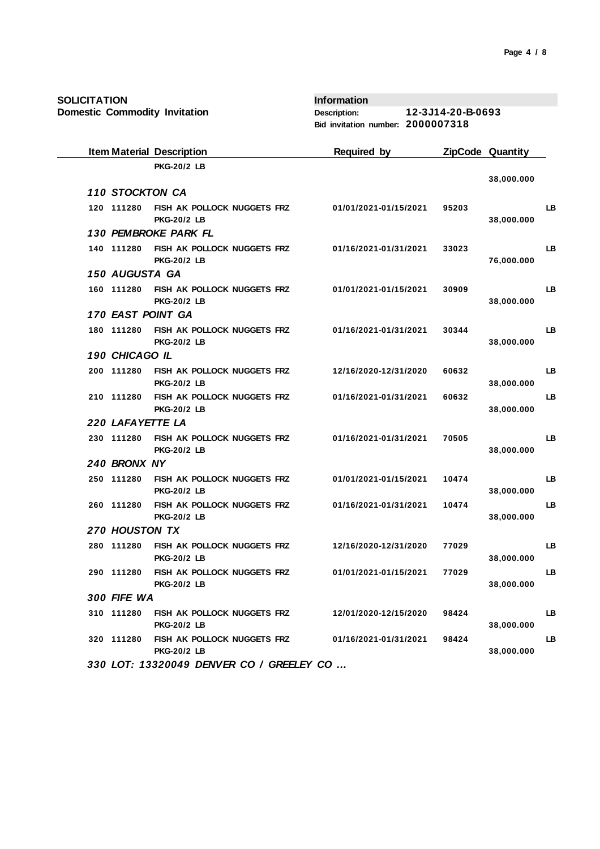**SOLICITATION**

**Domestic Commodity Invitation**

**Information Description: 12-3J14-20-B-0693 Bid invitation number: 2000007318**

|                  | <b>Item Material Description</b>                  | <b>Required by</b>    |       | ZipCode Quantity |    |
|------------------|---------------------------------------------------|-----------------------|-------|------------------|----|
|                  | <b>PKG-20/2 LB</b>                                |                       |       |                  |    |
| 110 STOCKTON CA  |                                                   |                       |       | 38,000.000       |    |
| 120 111280       | FISH AK POLLOCK NUGGETS FRZ<br><b>PKG-20/2 LB</b> | 01/01/2021-01/15/2021 | 95203 | 38,000.000       | LB |
|                  | 130 PEMBROKE PARK FL                              |                       |       |                  |    |
| 140 111280       | FISH AK POLLOCK NUGGETS FRZ<br><b>PKG-20/2 LB</b> | 01/16/2021-01/31/2021 | 33023 | 76,000.000       | LB |
| 150 AUGUSTA GA   |                                                   |                       |       |                  |    |
| 160 111280       | FISH AK POLLOCK NUGGETS FRZ<br><b>PKG-20/2 LB</b> | 01/01/2021-01/15/2021 | 30909 | 38,000.000       | LB |
|                  | 170 EAST POINT GA                                 |                       |       |                  |    |
| 180 111280       | FISH AK POLLOCK NUGGETS FRZ<br><b>PKG-20/2 LB</b> | 01/16/2021-01/31/2021 | 30344 | 38,000.000       | LB |
| 190 CHICAGO IL   |                                                   |                       |       |                  |    |
| 200 111280       | FISH AK POLLOCK NUGGETS FRZ<br><b>PKG-20/2 LB</b> | 12/16/2020-12/31/2020 | 60632 | 38,000.000       | LВ |
| 210 111280       | FISH AK POLLOCK NUGGETS FRZ<br><b>PKG-20/2 LB</b> | 01/16/2021-01/31/2021 | 60632 | 38,000.000       | LB |
| 220 LAFAYETTE LA |                                                   |                       |       |                  |    |
| 230 111280       | FISH AK POLLOCK NUGGETS FRZ<br><b>PKG-20/2 LB</b> | 01/16/2021-01/31/2021 | 70505 | 38,000.000       | LB |
| 240 BRONX NY     |                                                   |                       |       |                  |    |
| 250 111280       | FISH AK POLLOCK NUGGETS FRZ<br><b>PKG-20/2 LB</b> | 01/01/2021-01/15/2021 | 10474 | 38,000.000       | LB |
| 260 111280       | FISH AK POLLOCK NUGGETS FRZ<br><b>PKG-20/2 LB</b> | 01/16/2021-01/31/2021 | 10474 | 38,000.000       | LB |
| 270 HOUSTON TX   |                                                   |                       |       |                  |    |
| 280 111280       | FISH AK POLLOCK NUGGETS FRZ<br><b>PKG-20/2 LB</b> | 12/16/2020-12/31/2020 | 77029 | 38,000.000       | LB |
| 290 111280       | FISH AK POLLOCK NUGGETS FRZ<br><b>PKG-20/2 LB</b> | 01/01/2021-01/15/2021 | 77029 | 38,000.000       | LB |
| 300 FIFE WA      |                                                   |                       |       |                  |    |
| 310 111280       | FISH AK POLLOCK NUGGETS FRZ<br><b>PKG-20/2 LB</b> | 12/01/2020-12/15/2020 | 98424 | 38,000.000       | LB |
| 320 111280       | FISH AK POLLOCK NUGGETS FRZ<br><b>PKG-20/2 LB</b> | 01/16/2021-01/31/2021 | 98424 | 38,000.000       | LB |
|                  |                                                   |                       |       |                  |    |

 *330 LOT: 13320049 DENVER CO / GREELEY CO ...*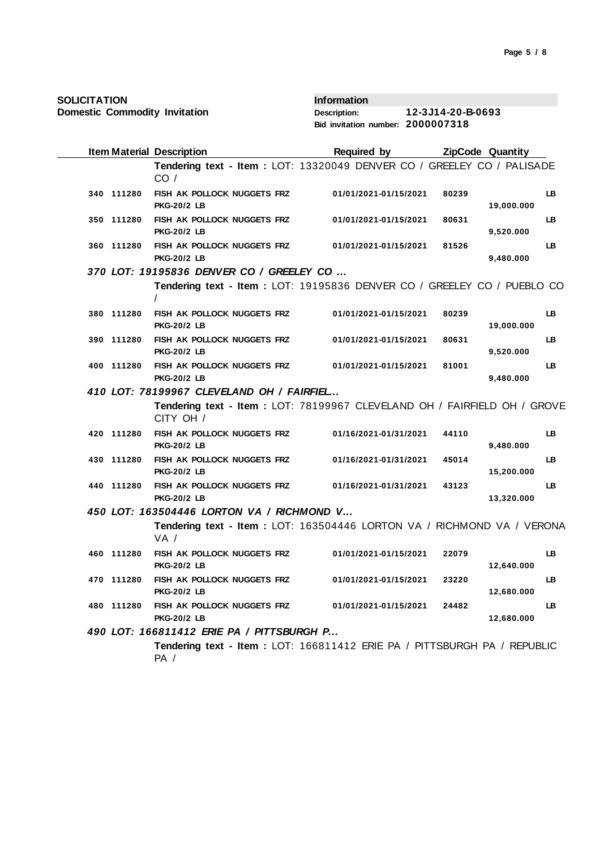**Domestic Commodity Invitation**

**Information Description: 12-3J14-20-B-0693 Bid invitation number: 2000007318**

|            | <b>Item Material Description</b>                                                       | Required by           |       | <b>ZipCode Quantity</b> |           |
|------------|----------------------------------------------------------------------------------------|-----------------------|-------|-------------------------|-----------|
|            | Tendering text - Item : LOT: 13320049 DENVER CO / GREELEY CO / PALISADE<br>CO/         |                       |       |                         |           |
| 340 111280 | FISH AK POLLOCK NUGGETS FRZ<br><b>PKG-20/2 LB</b>                                      | 01/01/2021-01/15/2021 | 80239 | 19,000.000              | LB.       |
| 350 111280 | FISH AK POLLOCK NUGGETS FRZ<br><b>PKG-20/2 LB</b>                                      | 01/01/2021-01/15/2021 | 80631 | 9,520.000               | LB.       |
| 360 111280 | FISH AK POLLOCK NUGGETS FRZ<br><b>PKG-20/2 LB</b>                                      | 01/01/2021-01/15/2021 | 81526 | 9,480.000               | <b>LB</b> |
|            | 370 LOT: 19195836 DENVER CO / GREELEY CO                                               |                       |       |                         |           |
|            | Tendering text - Item : LOT: 19195836 DENVER CO / GREELEY CO / PUEBLO CO               |                       |       |                         |           |
| 380 111280 | FISH AK POLLOCK NUGGETS FRZ<br><b>PKG-20/2 LB</b>                                      | 01/01/2021-01/15/2021 | 80239 | 19,000.000              | LB        |
| 390 111280 | FISH AK POLLOCK NUGGETS FRZ<br><b>PKG-20/2 LB</b>                                      | 01/01/2021-01/15/2021 | 80631 | 9,520.000               | LB.       |
| 400 111280 | FISH AK POLLOCK NUGGETS FRZ<br><b>PKG-20/2 LB</b>                                      | 01/01/2021-01/15/2021 | 81001 | 9,480.000               | LB.       |
|            | 410 LOT: 78199967 CLEVELAND OH / FAIRFIEL                                              |                       |       |                         |           |
|            | Tendering text - Item : LOT: 78199967 CLEVELAND OH / FAIRFIELD OH / GROVE<br>CITY OH / |                       |       |                         |           |
| 420 111280 | FISH AK POLLOCK NUGGETS FRZ<br><b>PKG-20/2 LB</b>                                      | 01/16/2021-01/31/2021 | 44110 | 9,480.000               | LB.       |
| 430 111280 | FISH AK POLLOCK NUGGETS FRZ<br><b>PKG-20/2 LB</b>                                      | 01/16/2021-01/31/2021 | 45014 | 15,200.000              | <b>LB</b> |
| 440 111280 | FISH AK POLLOCK NUGGETS FRZ<br><b>PKG-20/2 LB</b>                                      | 01/16/2021-01/31/2021 | 43123 | 13,320.000              | LB.       |
|            | 450 LOT: 163504446 LORTON VA / RICHMOND V                                              |                       |       |                         |           |
|            | Tendering text - Item: LOT: 163504446 LORTON VA / RICHMOND VA / VERONA<br>VA /         |                       |       |                         |           |
| 460 111280 | FISH AK POLLOCK NUGGETS FRZ<br><b>PKG-20/2 LB</b>                                      | 01/01/2021-01/15/2021 | 22079 | 12,640.000              | LB.       |
| 470 111280 | FISH AK POLLOCK NUGGETS FRZ<br><b>PKG-20/2 LB</b>                                      | 01/01/2021-01/15/2021 | 23220 | 12,680.000              | LB.       |
| 480 111280 | FISH AK POLLOCK NUGGETS FRZ<br><b>PKG-20/2 LB</b>                                      | 01/01/2021-01/15/2021 | 24482 | 12,680.000              | LB        |
|            | 490 LOT: 166811412 ERIE PA / PITTSBURGH P                                              |                       |       |                         |           |
|            | Tendering text - Item : LOT: 166811412 ERIE PA / PITTSBURGH PA / REPUBLIC<br>PA /      |                       |       |                         |           |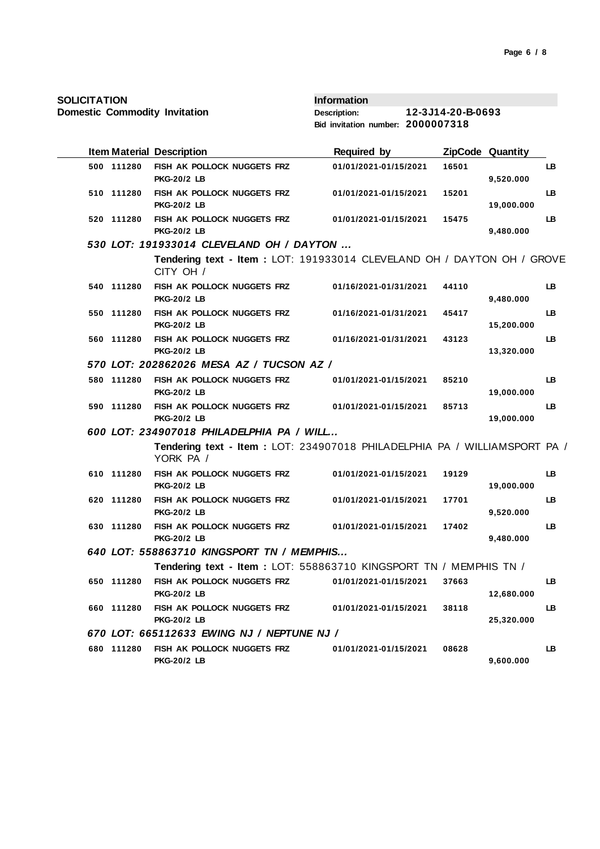**SOLICITATION**

**Domestic Commodity Invitation**

**Information Description: 12-3J14-20-B-0693 Bid invitation number: 2000007318**

|            | <b>Item Material Description</b>                                                        | <b>Required by</b>    |       | ZipCode Quantity |           |
|------------|-----------------------------------------------------------------------------------------|-----------------------|-------|------------------|-----------|
| 500 111280 | FISH AK POLLOCK NUGGETS FRZ<br><b>PKG-20/2 LB</b>                                       | 01/01/2021-01/15/2021 | 16501 | 9,520.000        | LB        |
| 510 111280 | FISH AK POLLOCK NUGGETS FRZ<br><b>PKG-20/2 LB</b>                                       | 01/01/2021-01/15/2021 | 15201 | 19,000.000       | LB        |
| 520 111280 | FISH AK POLLOCK NUGGETS FRZ<br><b>PKG-20/2 LB</b>                                       | 01/01/2021-01/15/2021 | 15475 | 9,480.000        | LB        |
|            | 530 LOT: 191933014 CLEVELAND OH / DAYTON                                                |                       |       |                  |           |
|            | Tendering text - Item: LOT: 191933014 CLEVELAND OH / DAYTON OH / GROVE<br>CITY OH /     |                       |       |                  |           |
| 540 111280 | FISH AK POLLOCK NUGGETS FRZ<br><b>PKG-20/2 LB</b>                                       | 01/16/2021-01/31/2021 | 44110 | 9,480.000        | LB        |
| 550 111280 | FISH AK POLLOCK NUGGETS FRZ<br><b>PKG-20/2 LB</b>                                       | 01/16/2021-01/31/2021 | 45417 | 15,200.000       | LB        |
| 560 111280 | FISH AK POLLOCK NUGGETS FRZ<br><b>PKG-20/2 LB</b>                                       | 01/16/2021-01/31/2021 | 43123 | 13,320.000       | <b>LB</b> |
|            | 570 LOT: 202862026 MESA AZ / TUCSON AZ /                                                |                       |       |                  |           |
| 580 111280 | FISH AK POLLOCK NUGGETS FRZ<br><b>PKG-20/2 LB</b>                                       | 01/01/2021-01/15/2021 | 85210 | 19,000.000       | LB        |
| 590 111280 | FISH AK POLLOCK NUGGETS FRZ<br><b>PKG-20/2 LB</b>                                       | 01/01/2021-01/15/2021 | 85713 | 19,000.000       | LB        |
|            | 600 LOT: 234907018 PHILADELPHIA PA / WILL                                               |                       |       |                  |           |
|            | Tendering text - Item : LOT: 234907018 PHILADELPHIA PA / WILLIAMSPORT PA /<br>YORK PA / |                       |       |                  |           |
| 610 111280 | FISH AK POLLOCK NUGGETS FRZ<br><b>PKG-20/2 LB</b>                                       | 01/01/2021-01/15/2021 | 19129 | 19,000.000       | LB        |
| 620 111280 | FISH AK POLLOCK NUGGETS FRZ<br><b>PKG-20/2 LB</b>                                       | 01/01/2021-01/15/2021 | 17701 | 9,520.000        | LB        |
| 630 111280 | FISH AK POLLOCK NUGGETS FRZ<br><b>PKG-20/2 LB</b>                                       | 01/01/2021-01/15/2021 | 17402 | 9,480.000        | LB        |
|            | 640 LOT: 558863710 KINGSPORT TN / MEMPHIS                                               |                       |       |                  |           |
|            | Tendering text - Item: LOT: 558863710 KINGSPORT TN / MEMPHIS TN /                       |                       |       |                  |           |
| 650 111280 | FISH AK POLLOCK NUGGETS FRZ<br><b>PKG-20/2 LB</b>                                       | 01/01/2021-01/15/2021 | 37663 | 12,680.000       | LB        |
| 660 111280 | FISH AK POLLOCK NUGGETS FRZ<br><b>PKG-20/2 LB</b>                                       | 01/01/2021-01/15/2021 | 38118 | 25,320.000       | LB        |
|            | 670 LOT: 665112633 EWING NJ / NEPTUNE NJ /                                              |                       |       |                  |           |
| 680 111280 | FISH AK POLLOCK NUGGETS FRZ<br><b>PKG-20/2 LB</b>                                       | 01/01/2021-01/15/2021 | 08628 | 9,600.000        | LB        |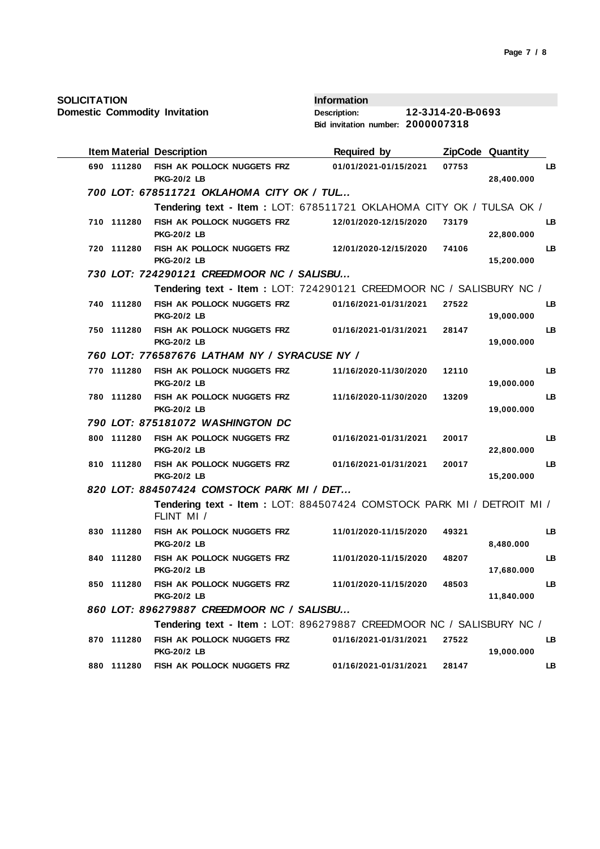**SOLICITATION**

**Domestic Commodity Invitation**

**Information Description: 12-3J14-20-B-0693 Bid invitation number: 2000007318**

|            | <b>Item Material Description</b>                                                                                 | <b>Required by</b>    | <b>ZipCode Quantity</b> |            |           |
|------------|------------------------------------------------------------------------------------------------------------------|-----------------------|-------------------------|------------|-----------|
| 690 111280 | FISH AK POLLOCK NUGGETS FRZ<br><b>PKG-20/2 LB</b>                                                                | 01/01/2021-01/15/2021 | 07753                   | 28,400.000 | LB        |
|            | 700 LOT: 678511721 OKLAHOMA CITY OK / TUL                                                                        |                       |                         |            |           |
|            | Tendering text - Item : LOT: 678511721 OKLAHOMA CITY OK / TULSA OK /                                             |                       |                         |            |           |
| 710 111280 | FISH AK POLLOCK NUGGETS FRZ                                                                                      | 12/01/2020-12/15/2020 | 73179                   |            | <b>LB</b> |
|            | <b>PKG-20/2 LB</b>                                                                                               |                       |                         | 22,800.000 |           |
| 720 111280 | FISH AK POLLOCK NUGGETS FRZ                                                                                      | 12/01/2020-12/15/2020 | 74106                   |            | LB        |
|            | <b>PKG-20/2 LB</b><br>730 LOT: 724290121 CREEDMOOR NC / SALISBU                                                  |                       |                         | 15,200.000 |           |
|            | Tendering text - Item: LOT: 724290121 CREEDMOOR NC / SALISBURY NC /                                              |                       |                         |            |           |
| 740 111280 | FISH AK POLLOCK NUGGETS FRZ                                                                                      | 01/16/2021-01/31/2021 | 27522                   |            | LB        |
|            | <b>PKG-20/2 LB</b>                                                                                               |                       |                         | 19,000.000 |           |
| 750 111280 | FISH AK POLLOCK NUGGETS FRZ                                                                                      | 01/16/2021-01/31/2021 | 28147                   |            | LB        |
|            | <b>PKG-20/2 LB</b>                                                                                               |                       |                         | 19,000.000 |           |
|            | 760 LOT: 776587676 LATHAM NY / SYRACUSE NY /                                                                     |                       |                         |            |           |
| 770 111280 | FISH AK POLLOCK NUGGETS FRZ                                                                                      | 11/16/2020-11/30/2020 | 12110                   |            | LB        |
|            | <b>PKG-20/2 LB</b>                                                                                               |                       |                         | 19,000.000 |           |
| 780 111280 | FISH AK POLLOCK NUGGETS FRZ                                                                                      | 11/16/2020-11/30/2020 | 13209                   |            | LB        |
|            | <b>PKG-20/2 LB</b><br>790 LOT: 875181072 WASHINGTON DC                                                           |                       |                         | 19,000.000 |           |
| 800 111280 | FISH AK POLLOCK NUGGETS FRZ                                                                                      | 01/16/2021-01/31/2021 | 20017                   |            | LB        |
|            | <b>PKG-20/2 LB</b>                                                                                               |                       |                         | 22,800.000 |           |
| 810 111280 | FISH AK POLLOCK NUGGETS FRZ                                                                                      | 01/16/2021-01/31/2021 | 20017                   |            | LB        |
|            | <b>PKG-20/2 LB</b>                                                                                               |                       |                         | 15,200.000 |           |
|            | 820 LOT: 884507424 COMSTOCK PARK MI / DET                                                                        |                       |                         |            |           |
|            | Tendering text - Item: LOT: 884507424 COMSTOCK PARK MI / DETROIT MI /<br>FLINT MI /                              |                       |                         |            |           |
| 830 111280 | FISH AK POLLOCK NUGGETS FRZ                                                                                      | 11/01/2020-11/15/2020 | 49321                   |            | LB        |
|            | <b>PKG-20/2 LB</b>                                                                                               |                       |                         | 8,480.000  |           |
| 840 111280 | FISH AK POLLOCK NUGGETS FRZ<br><b>PKG-20/2 LB</b>                                                                | 11/01/2020-11/15/2020 | 48207                   | 17,680.000 | LB        |
| 850 111280 | FISH AK POLLOCK NUGGETS FRZ                                                                                      | 11/01/2020-11/15/2020 | 48503                   |            | LB        |
|            | <b>PKG-20/2 LB</b>                                                                                               |                       |                         | 11,840.000 |           |
|            | 860 LOT: 896279887 CREEDMOOR NC / SALISBU<br>Tendering text - Item: LOT: 896279887 CREEDMOOR NC / SALISBURY NC / |                       |                         |            |           |
| 870 111280 | FISH AK POLLOCK NUGGETS FRZ                                                                                      |                       | 27522                   |            |           |
|            | <b>PKG-20/2 LB</b>                                                                                               | 01/16/2021-01/31/2021 |                         | 19,000.000 | LB        |
| 880 111280 | FISH AK POLLOCK NUGGETS FRZ                                                                                      | 01/16/2021-01/31/2021 | 28147                   |            | LB        |